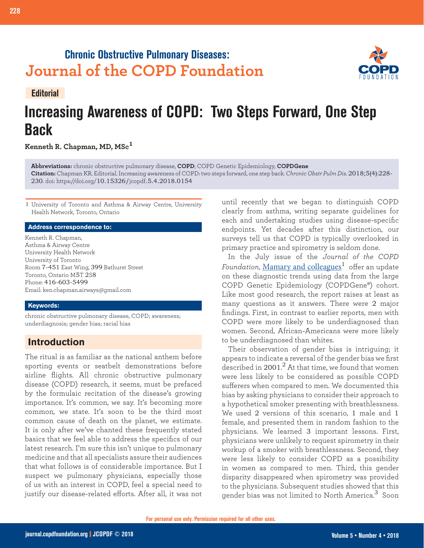# **Chronic Obstructive Pulmonary Diseases: Journal of the COPD Foundation**



**228 Editorial: COPD Awareness**



# **Increasing Awareness of COPD: Two Steps Forward, One Step Back**

**Kenneth R. Chapman, MD, MSc<sup>1</sup>**

**Abbreviations:** chronic obstructive pulmonary disease, **COPD**; COPD Genetic Epidemiology, **COPDGene Citation:** Chapman KR. Editorial. Increasing awareness of COPD: two steps forward, one step back. *Chronic Obstr Pulm Dis*. 2018;5(4):228- 230. doi: https://doi.org/10.15326/jcopdf.5.4.2018.0154

1 University of Toronto and Asthma & Airway Centre, University Health Network, Toronto, Ontario

#### **Address correspondence to:**

Kenneth R. Chapman, Asthma & Airway Centre University Health Network University of Toronto Room 7-451 East Wing, 399 Bathurst Street Toronto, Ontario M5T 2S8 Phone: 416-603-5499 Email: ken.chapman.airways@gmail.com

#### **Keywords:**

chronic obstructive pulmonary disease, COPD; awareness; underdiagnosis; gender bias; racial bias

## **Introduction**

The ritual is as familiar as the national anthem before sporting events or seatbelt demonstrations before airline flights. All chronic obstructive pulmonary disease (COPD) research, it seems, must be prefaced by the formulaic recitation of the disease's growing importance. It's common, we say. It's becoming more common, we state. It's soon to be the third most common cause of death on the planet, we estimate. It is only after we've chanted these frequently stated basics that we feel able to address the specifics of our latest research. I'm sure this isn't unique to pulmonary medicine and that all specialists assure their audiences that what follows is of considerable importance. But I suspect we pulmonary physicians, especially those of us with an interest in COPD, feel a special need to justify our disease-related efforts. After all, it was not until recently that we began to distinguish COPD clearly from asthma, writing separate guidelines for each and undertaking studies using disease-specific endpoints. Yet decades after this distinction, our surveys tell us that COPD is typically overlooked in primary practice and spirometry is seldom done.

In the July issue of the *Journal of the COPD Foundation*, [Mamary and colleagues](https://journal.copdfoundation.org/jcopdf/id/1199/Race-and-Gender-Disparities-are-Evident-in-COPD-Underdiagnoses-Across-all-Severities-of-Measured-Airflow-Obstruction)<sup>1</sup> offer an update on these diagnostic trends using data from the large COPD Genetic Epidemiology (COPDGene®) cohort. Like most good research, the report raises at least as many questions as it answers. There were 2 major findings. First, in contrast to earlier reports, men with COPD were more likely to be underdiagnosed than women. Second, African-Americans were more likely to be underdiagnosed than whites.

Their observation of gender bias is intriguing; it appears to indicate a reversal of the gender bias we first described in 2001. $^2$  At that time, we found that women were less likely to be considered as possible COPD sufferers when compared to men. We documented this bias by asking physicians to consider their approach to a hypothetical smoker presenting with breathlessness. We used 2 versions of this scenario, 1 male and 1 female, and presented them in random fashion to the physicians. We learned 3 important lessons. First, physicians were unlikely to request spirometry in their workup of a smoker with breathlessness. Second, they were less likely to consider COPD as a possibility in women as compared to men. Third, this gender disparity disappeared when spirometry was provided to the physicians. Subsequent studies showed that this gender bias was not limited to North America.<sup>3</sup> Soon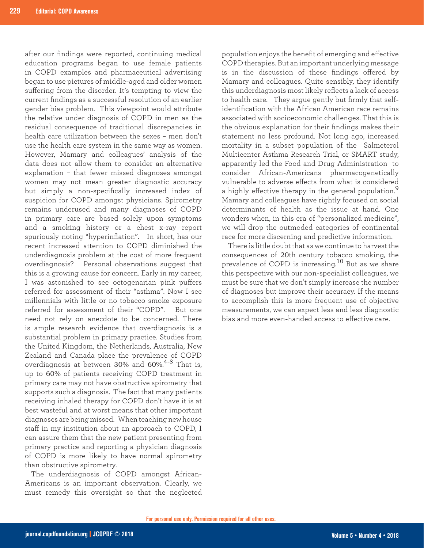after our findings were reported, continuing medical education programs began to use female patients in COPD examples and pharmaceutical advertising began to use pictures of middle-aged and older women suffering from the disorder. It's tempting to view the current findings as a successful resolution of an earlier gender bias problem. This viewpoint would attribute the relative under diagnosis of COPD in men as the residual consequence of traditional discrepancies in health care utilization between the sexes – men don't use the health care system in the same way as women. However, Mamary and colleagues' analysis of the data does not allow them to consider an alternative explanation – that fewer missed diagnoses amongst women may not mean greater diagnostic accuracy but simply a non-specifically increased index of suspicion for COPD amongst physicians. Spirometry remains underused and many diagnoses of COPD in primary care are based solely upon symptoms and a smoking history or a chest x-ray report spuriously noting "hyperinflation". In short, has our recent increased attention to COPD diminished the underdiagnosis problem at the cost of more frequent overdiagnosis? Personal observations suggest that this is a growing cause for concern. Early in my career, I was astonished to see octogenarian pink puffers referred for assessment of their "asthma". Now I see millennials with little or no tobacco smoke exposure referred for assessment of their "COPD". But one need not rely on anecdote to be concerned. There is ample research evidence that overdiagnosis is a substantial problem in primary practice. Studies from the United Kingdom, the Netherlands, Australia, New Zealand and Canada place the prevalence of COPD overdiagnosis at between 30% and 60%. 4-8 That is, up to 60% of patients receiving COPD treatment in primary care may not have obstructive spirometry that supports such a diagnosis. The fact that many patients receiving inhaled therapy for COPD don't have it is at best wasteful and at worst means that other important diagnoses are being missed. When teaching new house staff in my institution about an approach to COPD, I can assure them that the new patient presenting from primary practice and reporting a physician diagnosis of COPD is more likely to have normal spirometry than obstructive spirometry.

The underdiagnosis of COPD amongst African-Americans is an important observation. Clearly, we must remedy this oversight so that the neglected population enjoys the benefit of emerging and effective COPD therapies. But an important underlying message is in the discussion of these findings offered by Mamary and colleagues. Quite sensibly, they identify this underdiagnosis most likely reflects a lack of access to health care. They argue gently but firmly that selfidentification with the African American race remains associated with socioeconomic challenges. That this is the obvious explanation for their findings makes their statement no less profound. Not long ago, increased mortality in a subset population of the Salmeterol Multicenter Asthma Research Trial, or SMART study, apparently led the Food and Drug Administration to consider African-Americans pharmacogenetically vulnerable to adverse effects from what is considered a highly effective therapy in the general population.<sup>9</sup> Mamary and colleagues have rightly focused on social determinants of health as the issue at hand. One wonders when, in this era of "personalized medicine", we will drop the outmoded categories of continental race for more discerning and predictive information.

There is little doubt that as we continue to harvest the consequences of 20th century tobacco smoking, the prevalence of COPD is increasing.10 But as we share this perspective with our non-specialist colleagues, we must be sure that we don't simply increase the number of diagnoses but improve their accuracy. If the means to accomplish this is more frequent use of objective measurements, we can expect less and less diagnostic bias and more even-handed access to effective care.